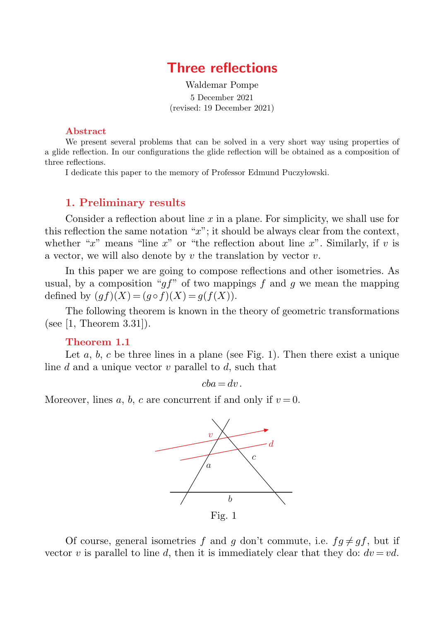# **Three reflections**

Waldemar Pompe 5 December 2021 (revised: 19 December 2021)

#### Abstract

We present several problems that can be solved in a very short way using properties of a glide reflection. In our configurations the glide reflection will be obtained as a composition of three reflections.

I dedicate this paper to the memory of Professor Edmund Puczyłowski.

## **1. Preliminary results**

Consider a reflection about line *x* in a plane. For simplicity, we shall use for this reflection the same notation "*x*"; it should be always clear from the context, whether " $x$ " means "line  $x$ " or "the reflection about line  $x$ ". Similarly, if  $v$  is a vector, we will also denote by *v* the translation by vector *v*.

In this paper we are going to compose reflections and other isometries. As usual, by a composition " $q f$ " of two mappings  $f$  and  $q$  we mean the mapping defined by  $(qf)(X) = (q \circ f)(X) = q(f(X)).$ 

The following theorem is known in the theory of geometric transformations (see [1, Theorem 3.31]).

#### **Theorem 1.1**

Let  $a, b, c$  be three lines in a plane (see Fig. 1). Then there exist a unique line *d* and a unique vector *v* parallel to *d*, such that

 $cba = dv$ .

Moreover, lines  $a, b, c$  are concurrent if and only if  $v = 0$ .



Of course, general isometries f and q don't commute, i.e.  $fq \neq qf$ , but if vector *v* is parallel to line *d*, then it is immediately clear that they do:  $dv = vd$ .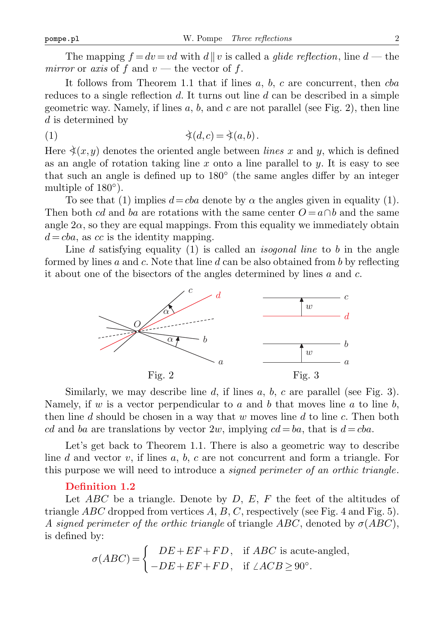The mapping  $f = dv = vd$  with  $d||v$  is called a *glide reflection*, line  $d$  — the *mirror* or *axis* of  $f$  and  $v$  — the vector of  $f$ .

It follows from Theorem 1.1 that if lines *a*, *b*, *c* are concurrent, then *cba* reduces to a single reflection *d*. It turns out line *d* can be described in a simple geometric way. Namely, if lines *a*, *b*, and *c* are not parallel (see Fig. 2), then line *d* is determined by

$$
(1) \qquad \qquad \forall (d,c) = \dot{\prec}(a,b).
$$

Here  $\dot{\preceq}(x,y)$  denotes the oriented angle between *lines* x and y, which is defined as an angle of rotation taking line *x* onto a line parallel to *y*. It is easy to see that such an angle is defined up to 180*◦* (the same angles differ by an integer multiple of 180*◦* ).

To see that (1) implies  $d = cba$  denote by  $\alpha$  the angles given in equality (1). Then both *cd* and *ba* are rotations with the same center  $O = a \cap b$  and the same angle  $2\alpha$ , so they are equal mappings. From this equality we immediately obtain  $d = cba$ , as *cc* is the identity mapping.

Line *d* satisfying equality (1) is called an *isogonal line* to *b* in the angle formed by lines *a* and *c*. Note that line *d* can be also obtained from *b* by reflecting it about one of the bisectors of the angles determined by lines *a* and *c*.



Similarly, we may describe line *d*, if lines *a*, *b*, *c* are parallel (see Fig. 3). Namely, if *w* is a vector perpendicular to *a* and *b* that moves line *a* to line *b*, then line *d* should be chosen in a way that *w* moves line *d* to line *c*. Then both *cd* and *ba* are translations by vector 2*w*, implying  $cd = ba$ , that is  $d = cba$ .

Let's get back to Theorem 1.1. There is also a geometric way to describe line *d* and vector *v*, if lines *a*, *b*, *c* are not concurrent and form a triangle. For this purpose we will need to introduce a *signed perimeter of an orthic triangle*.

### **Definition 1.2**

Let *ABC* be a triangle. Denote by *D*, *E*, *F* the feet of the altitudes of triangle *ABC* dropped from vertices *A*, *B*, *C*, respectively (see Fig. 4 and Fig. 5). *A signed perimeter of the orthic triangle* of triangle *ABC*, denoted by *σ*(*ABC*), is defined by:

$$
\sigma(ABC) = \begin{cases} DE + EF + FD, & \text{if } ABC \text{ is acute-angled,} \\ -DE + EF + FD, & \text{if } \angle ACB \ge 90^{\circ}. \end{cases}
$$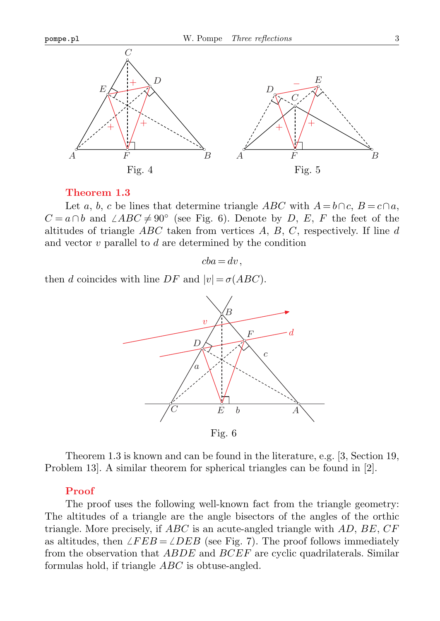

#### **Theorem 1.3**

Let *a*, *b*, *c* be lines that determine triangle *ABC* with  $A = b \cap c$ ,  $B = c \cap a$ , *C* = *a*∩*b* and  $\angle ABC \neq 90^\circ$  (see Fig. 6). Denote by *D*, *E*, *F* the feet of the altitudes of triangle *ABC* taken from vertices *A*, *B*, *C*, respectively. If line *d* and vector *v* parallel to *d* are determined by the condition

 $cba = dv$ .

then *d* coincides with line *DF* and  $|v| = \sigma(ABC)$ .



Fig. 6

Theorem 1.3 is known and can be found in the literature, e.g. [3, Section 19, Problem 13]. A similar theorem for spherical triangles can be found in [2].

## **Proof**

The proof uses the following well-known fact from the triangle geometry: The altitudes of a triangle are the angle bisectors of the angles of the orthic triangle. More precisely, if *ABC* is an acute-angled triangle with *AD*, *BE*, *CF* as altitudes, then  $\angle FEB = \angle DEB$  (see Fig. 7). The proof follows immediately from the observation that *ABDE* and *BCEF* are cyclic quadrilaterals. Similar formulas hold, if triangle *ABC* is obtuse-angled.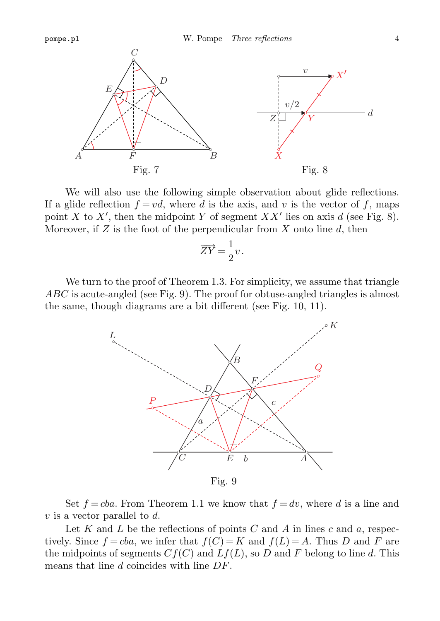



We will also use the following simple observation about glide reflections. If a glide reflection  $f = v d$ , where *d* is the axis, and *v* is the vector of *f*, maps point *X* to *X'*, then the midpoint *Y* of segment *XX'* lies on axis *d* (see Fig. 8). Moreover, if *Z* is the foot of the perpendicular from *X* onto line *d*, then

$$
\overrightarrow{ZY} = \frac{1}{2}\nu.
$$

We turn to the proof of Theorem 1.3. For simplicity, we assume that triangle *ABC* is acute-angled (see Fig. 9). The proof for obtuse-angled triangles is almost the same, though diagrams are a bit different (see Fig. 10, 11).



Set  $f = cba$ . From Theorem 1.1 we know that  $f = dv$ , where *d* is a line and *v* is a vector parallel to *d*.

Let *K* and *L* be the reflections of points *C* and *A* in lines *c* and *a*, respectively. Since  $f = cba$ , we infer that  $f(C) = K$  and  $f(L) = A$ . Thus *D* and *F* are the midpoints of segments  $Cf(C)$  and  $Lf(L)$ , so D and F belong to line d. This means that line *d* coincides with line *DF*.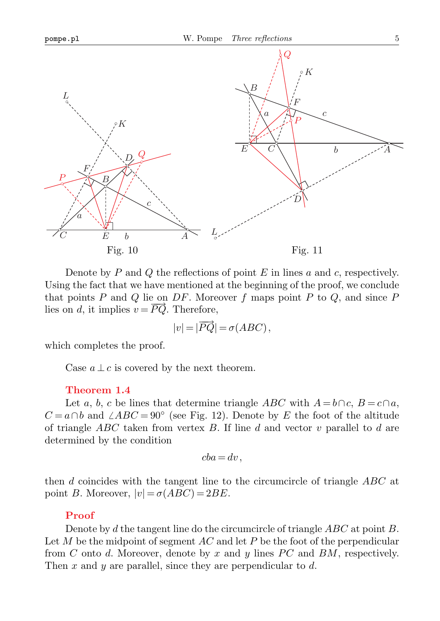

Fig. 10

Fig. 11

Denote by *P* and *Q* the reflections of point *E* in lines *a* and *c*, respectively. Using the fact that we have mentioned at the beginning of the proof, we conclude that points *P* and *Q* lie on *DF*. Moreover *f* maps point *P* to *Q*, and since *P* lies on *d*, it implies  $v = \overline{PQ}$ . Therefore,

$$
|v| = |\overrightarrow{PQ}| = \sigma(ABC),
$$

which completes the proof.

Case  $a \perp c$  is covered by the next theorem.

#### **Theorem 1.4**

Let *a*, *b*, *c* be lines that determine triangle *ABC* with  $A = b \cap c$ ,  $B = c \cap a$ , *C* = *a*∩*b* and  $\angle ABC = 90$ <sup>°</sup> (see Fig. 12). Denote by *E* the foot of the altitude of triangle *ABC* taken from vertex *B*. If line *d* and vector *v* parallel to *d* are determined by the condition

$$
cba=dv,
$$

then *d* coincides with the tangent line to the circumcircle of triangle *ABC* at point *B*. Moreover,  $|v| = \sigma(ABC) = 2BE$ .

#### **Proof**

Denote by *d* the tangent line do the circumcircle of triangle *ABC* at point *B*. Let *M* be the midpoint of segment *AC* and let *P* be the foot of the perpendicular from *C* onto *d*. Moreover, denote by *x* and *y* lines *P C* and *BM*, respectively. Then *x* and *y* are parallel, since they are perpendicular to *d*.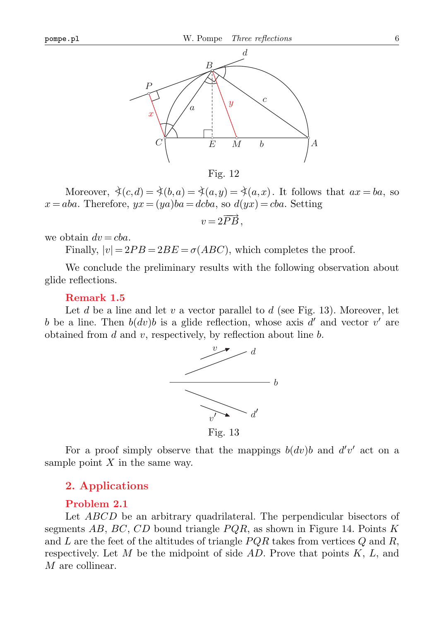

Fig. 12

Moreover,  $\dot{\prec}(c,d) = \dot{\prec}(b,a) = \dot{\prec}(a,y) = \dot{\prec}(a,x)$ . It follows that  $ax = ba$ , so  $x = aba$ . Therefore,  $yx = (ya)ba = dcba$ , so  $d(yx) = cba$ . Setting

$$
v=2\overrightarrow{PB},
$$

we obtain  $dv = cba$ .

Finally,  $|v| = 2PB = 2BE = \sigma(ABC)$ , which completes the proof.

We conclude the preliminary results with the following observation about glide reflections.

## **Remark 1.5**

Let *d* be a line and let *v* a vector parallel to *d* (see Fig. 13). Moreover, let *b* be a line. Then  $b(dv)b$  is a glide reflection, whose axis  $d'$  and vector  $v'$  are obtained from *d* and *v*, respectively, by reflection about line *b*.



For a proof simply observe that the mappings  $b(dv)b$  and  $d'v'$  act on a sample point *X* in the same way.

## **2. Applications**

## **Problem 2.1**

Let *ABCD* be an arbitrary quadrilateral. The perpendicular bisectors of segments *AB*, *BC*, *CD* bound triangle *P QR*, as shown in Figure 14. Points *K* and *L* are the feet of the altitudes of triangle *PQR* takes from vertices *Q* and *R*, respectively. Let *M* be the midpoint of side *AD*. Prove that points *K*, *L*, and *M* are collinear.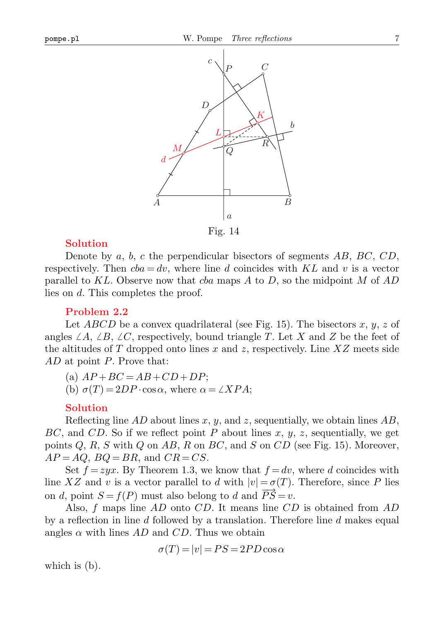

Fig. 14

## **Solution**

Denote by *a*, *b*, *c* the perpendicular bisectors of segments *AB*, *BC*, *CD*, respectively. Then  $cba = dv$ , where line *d* coincides with  $KL$  and *v* is a vector parallel to *KL*. Observe now that *cba* maps *A* to *D*, so the midpoint *M* of *AD* lies on *d*. This completes the proof.

#### **Problem 2.2**

Let *ABCD* be a convex quadrilateral (see Fig. 15). The bisectors *x*, *y*, *z* of angles  $\angle A$ ,  $\angle B$ ,  $\angle C$ , respectively, bound triangle T. Let X and Z be the feet of the altitudes of *T* dropped onto lines *x* and *z*, respectively. Line *XZ* meets side *AD* at point *P*. Prove that:

 $(A)$   $AP + BC = AB + CD + DP$ ;

(b)  $\sigma(T) = 2DP \cdot \cos \alpha$ , where  $\alpha = \angle XPA$ ;

#### **Solution**

Reflecting line *AD* about lines *x*, *y*, and *z*, sequentially, we obtain lines *AB*, *BC*, and *CD*. So if we reflect point *P* about lines *x*, *y*, *z*, sequentially, we get points *Q*, *R*, *S* with *Q* on *AB*, *R* on *BC*, and *S* on *CD* (see Fig. 15). Moreover,  $AP = AQ$ ,  $BQ = BR$ , and  $CR = CS$ .

Set  $f = zyx$ . By Theorem 1.3, we know that  $f = dv$ , where *d* coincides with line *XZ* and *v* is a vector parallel to *d* with  $|v| = \sigma(T)$ . Therefore, since *P* lies on *d*, point  $S = f(P)$  must also belong to *d* and  $\overline{PS} = v$ .

Also, *f* maps line *AD* onto *CD*. It means line *CD* is obtained from *AD* by a reflection in line *d* followed by a translation. Therefore line *d* makes equal angles  $\alpha$  with lines  $AD$  and  $CD$ . Thus we obtain

$$
\sigma(T) = |v| = PS = 2PD\cos\alpha
$$

which is (b).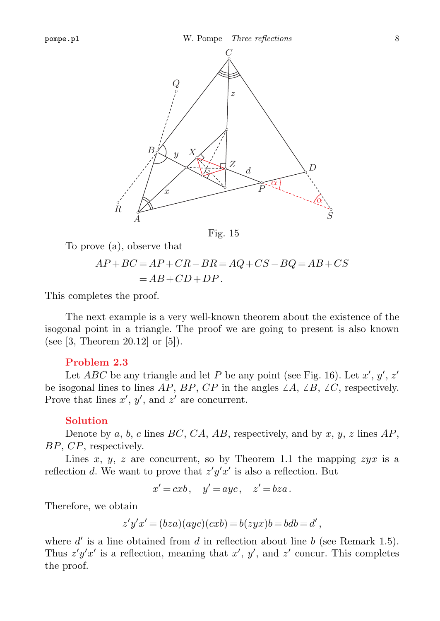

Fig. 15

To prove (a), observe that

$$
AP + BC = AP + CR - BR = AQ + CS - BQ = AB + CS
$$
  
= AB + CD + DP.

This completes the proof.

The next example is a very well-known theorem about the existence of the isogonal point in a triangle. The proof we are going to present is also known (see [3, Theorem 20.12] or [5]).

## **Problem 2.3**

Let *ABC* be any triangle and let *P* be any point (see Fig. 16). Let  $x'$ ,  $y'$ ,  $z'$ be isogonal lines to lines *AP*, *BP*, *CP* in the angles  $\angle A$ ,  $\angle B$ ,  $\angle C$ , respectively. Prove that lines  $x'$ ,  $y'$ , and  $z'$  are concurrent.

#### **Solution**

Denote by *a*, *b*, *c* lines *BC*, *CA*, *AB*, respectively, and by *x*, *y*, *z* lines *AP*, *BP*, *CP*, respectively.

Lines  $x, y, z$  are concurrent, so by Theorem 1.1 the mapping  $zyx$  is a reflection *d*. We want to prove that  $z'y'x'$  is also a reflection. But

$$
x' = cxb, \quad y' = ayc, \quad z' = bza.
$$

Therefore, we obtain

$$
z'y'x' = (bza)(ayc)(cxb) = b(zyx)b = bdb = d',
$$

where  $d'$  is a line obtained from  $d$  in reflection about line  $b$  (see Remark 1.5). Thus  $z'y'x'$  is a reflection, meaning that  $x'$ ,  $y'$ , and  $z'$  concur. This completes the proof.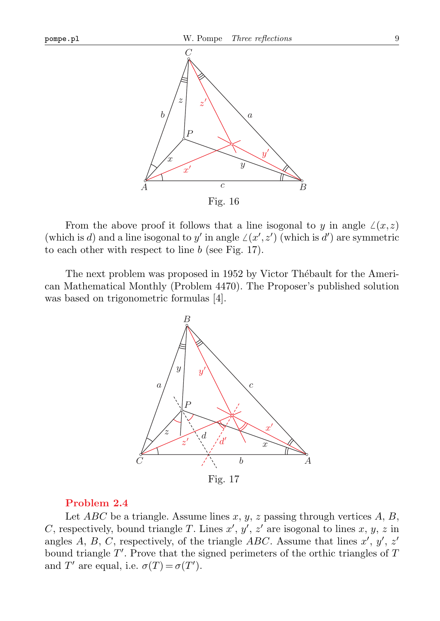

From the above proof it follows that a line isogonal to *y* in angle  $\angle(x,z)$ (which is *d*) and a line isogonal to *y'* in angle  $\angle(x', z')$  (which is *d'*) are symmetric to each other with respect to line *b* (see Fig. 17).

The next problem was proposed in 1952 by Victor Thébault for the American Mathematical Monthly (Problem 4470). The Proposer's published solution was based on trigonometric formulas [4].



## **Problem 2.4**

Let *ABC* be a triangle. Assume lines *x*, *y*, *z* passing through vertices *A*, *B*, *C*, respectively, bound triangle *T*. Lines  $x'$ ,  $y'$ ,  $z'$  are isogonal to lines  $x, y, z$  in angles *A*, *B*, *C*, respectively, of the triangle *ABC*. Assume that lines  $x'$ ,  $y'$ ,  $z'$ bound triangle  $T'$ . Prove that the signed perimeters of the orthic triangles of T and *T*' are equal, i.e.  $\sigma(T) = \sigma(T')$ .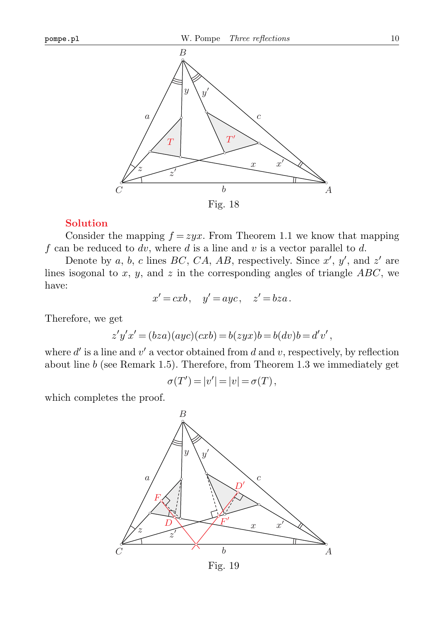

#### **Solution**

Consider the mapping  $f = zyx$ . From Theorem 1.1 we know that mapping *f* can be reduced to *dv*, where *d* is a line and *v* is a vector parallel to *d*.

Denote by *a*, *b*, *c* lines *BC*, *CA*, *AB*, respectively. Since  $x'$ ,  $y'$ , and  $z'$  are lines isogonal to *x*, *y*, and *z* in the corresponding angles of triangle *ABC*, we have:

$$
x' = cxb, \quad y' = ayc, \quad z' = bza.
$$

Therefore, we get

$$
z'y'x' = (bza)(ayc)(cxb) = b(zyx)b = b(dv)b = d'v',
$$

where  $d'$  is a line and  $v'$  a vector obtained from  $d$  and  $v$ , respectively, by reflection about line *b* (see Remark 1.5). Therefore, from Theorem 1.3 we immediately get

$$
\sigma(T') = |v'| = |v| = \sigma(T),
$$

which completes the proof.



Fig. 19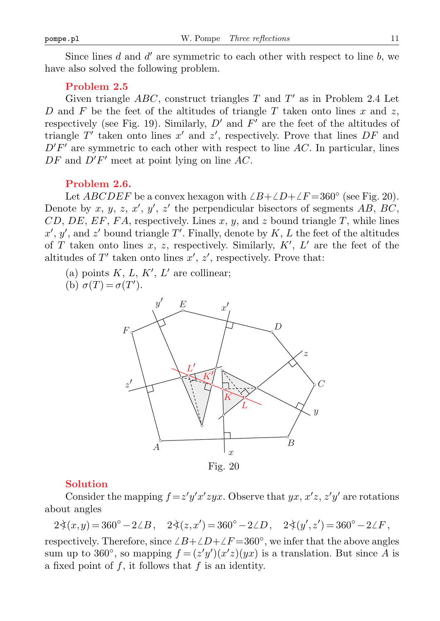Since lines  $d$  and  $d'$  are symmetric to each other with respect to line  $b$ , we have also solved the following problem.

## **Problem 2.5**

Given triangle  $ABC$ , construct triangles  $T$  and  $T'$  as in Problem 2.4 Let *D* and *F* be the feet of the altitudes of triangle *T* taken onto lines *x* and *z*, respectively (see Fig. 19). Similarly,  $D'$  and  $F'$  are the feet of the altitudes of triangle  $T'$  taken onto lines  $x'$  and  $z'$ , respectively. Prove that lines  $DF$  and  $D'F'$  are symmetric to each other with respect to line  $AC$ . In particular, lines  $DF$  and  $D'F'$  meet at point lying on line  $AC$ .

#### **Problem 2.6.**

Let *ABCDEF* be a convex hexagon with  $\angle B + \angle D + \angle F = 360^\circ$  (see Fig. 20). Denote by  $x, y, z, x', y', z'$  the perpendicular bisectors of segments  $AB, BC$ , *CD*, *DE*, *EF*, *FA*, respectively. Lines *x*, *y*, and *z* bound triangle *T*, while lines  $x'$ ,  $y'$ , and  $z'$  bound triangle *T'*. Finally, denote by *K*, *L* the feet of the altitudes of *T* taken onto lines *x*, *z*, respectively. Similarly,  $K'$ ,  $L'$  are the feet of the altitudes of  $T'$  taken onto lines  $x'$ ,  $z'$ , respectively. Prove that:

(a) points  $K, L, K', L'$  are collinear;

(b)  $\sigma(T) = \sigma(T')$ .



Fig. 20

#### **Solution**

Consider the mapping  $f = z'y'x'zyx$ . Observe that  $yx, x'z, z'y'$  are rotations about angles

 $2\xi(x,y) = 360^{\circ} - 2\angle B, \quad 2\xi(z,x') = 360^{\circ} - 2\angle D, \quad 2\xi(y',z') = 360^{\circ} - 2\angle F,$ 

respectively. Therefore, since  $\angle B + \angle D + \angle F = 360^\circ$ , we infer that the above angles sum up to 360<sup>°</sup>, so mapping  $f = (z'y')(x'z)(yx)$  is a translation. But since *A* is a fixed point of *f*, it follows that *f* is an identity.